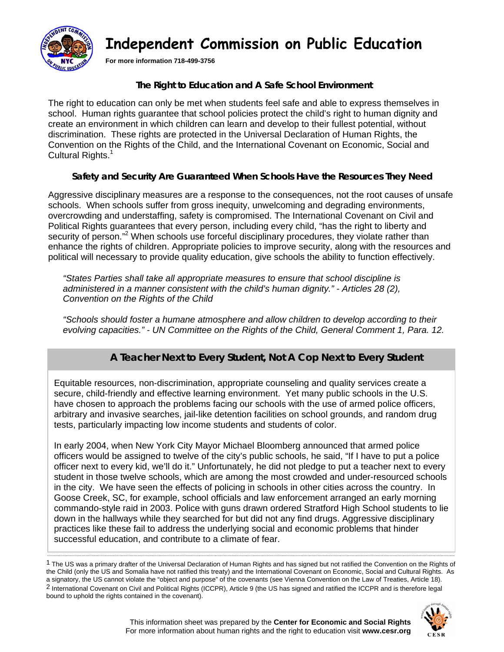

# **Independent Commission on Public Education**

**For more information 718-499-3756**

#### **The Right to Education and A Safe School Environment**

The right to education can only be met when students feel safe and able to express themselves in school. Human rights guarantee that school policies protect the child's right to human dignity and create an environment in which children can learn and develop to their fullest potential, without discrimination. These rights are protected in the Universal Declaration of Human Rights, the Convention on the Rights of the Child, and the International Covenant on Economic, Social and Cultural Rights.<sup>1</sup>

#### **Safety and Security Are Guaranteed When Schools Have the Resources They Need**

Aggressive disciplinary measures are a response to the consequences, not the root causes of unsafe schools. When schools suffer from gross inequity, unwelcoming and degrading environments, overcrowding and understaffing, safety is compromised. The International Covenant on Civil and Political Rights guarantees that every person, including every child, "has the right to liberty and security of person."<sup>2</sup> When schools use forceful disciplinary procedures, they violate rather than enhance the rights of children. Appropriate policies to improve security, along with the resources and political will necessary to provide quality education, give schools the ability to function effectively.

*"States Parties shall take all appropriate measures to ensure that school discipline is administered in a manner consistent with the child's human dignity." - Articles 28 (2), Convention on the Rights of the Child* 

*"Schools should foster a humane atmosphere and allow children to develop according to their evolving capacities." - UN Committee on the Rights of the Child, General Comment 1, Para. 12.* 

## **A Teacher Next to Every Student, Not A Cop Next to Every Student**

Equitable resources, non-discrimination, appropriate counseling and quality services create a secure, child-friendly and effective learning environment. Yet many public schools in the U.S. have chosen to approach the problems facing our schools with the use of armed police officers, arbitrary and invasive searches, jail-like detention facilities on school grounds, and random drug tests, particularly impacting low income students and students of color.

In early 2004, when New York City Mayor Michael Bloomberg announced that armed police officers would be assigned to twelve of the city's public schools, he said, "If I have to put a police officer next to every kid, we'll do it." Unfortunately, he did not pledge to put a teacher next to every student in those twelve schools, which are among the most crowded and under-resourced schools in the city. We have seen the effects of policing in schools in other cities across the country. In Goose Creek, SC, for example, school officials and law enforcement arranged an early morning commando-style raid in 2003. Police with guns drawn ordered Stratford High School students to lie down in the hallways while they searched for but did not any find drugs. Aggressive disciplinary practices like these fail to address the underlying social and economic problems that hinder successful education, and contribute to a climate of fear.

<sup>1</sup> The US was a primary drafter of the Universal Declaration of Human Rights and has signed but not ratified the Convention on the Rights of the Child (only the US and Somalia have not ratified this treaty) and the International Covenant on Economic, Social and Cultural Rights. As a signatory, the US cannot violate the "object and purpose" of the covenants (see Vienna Convention on the Law of Treaties, Article 18). 2 International Covenant on Civil and Political Rights (ICCPR), Article 9 (the US has signed and ratified the ICCPR and is therefore legal bound to uphold the rights contained in the covenant).